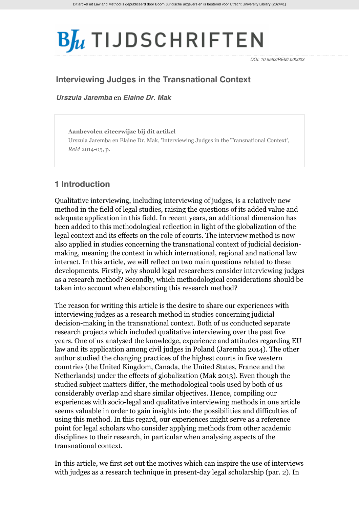# $B_{\mu}$  TIJDSCHRIFTEN

*DOI: 10.5553/REM/.000003*

# **Interviewing Judges in the Transnational Context**

*[Urszula Jaremba](http://www.bjutijdschriften.nl/zoek?search_category=&search_journal_code=&search_text=%40auteur+Jaremba&search_year=)* en *[Elaine Dr. Mak](http://www.bjutijdschriften.nl/zoek?search_category=&search_journal_code=&search_text=%40auteur+Mak&search_year=)*

**Aanbevolen citeerwijze bij dit artikel** Urszula Jaremba en Elaine Dr. Mak, 'Interviewing Judges in the Transnational Context', *ReM* 2014-05, p.

# **1 Introduction**

Qualitative interviewing, including interviewing of judges, is a relatively new method in the field of legal studies, raising the questions of its added value and adequate application in this field. In recent years, an additional dimension has been added to this methodological reflection in light of the globalization of the legal context and its effects on the role of courts. The interview method is now also applied in studies concerning the transnational context of judicial decisionmaking, meaning the context in which international, regional and national law interact. In this article, we will reflect on two main questions related to these developments. Firstly, why should legal researchers consider interviewing judges as a research method? Secondly, which methodological considerations should be taken into account when elaborating this research method?

The reason for writing this article is the desire to share our experiences with interviewing judges as a research method in studies concerning judicial decision-making in the transnational context. Both of us conducted separate research projects which included qualitative interviewing over the past five years. One of us analysed the knowledge, experience and attitudes regarding EU law and its application among civil judges in Poland (Jaremba 2014). The other author studied the changing practices of the highest courts in five western countries (the United Kingdom, Canada, the United States, France and the Netherlands) under the effects of globalization (Mak 2013). Even though the studied subject matters differ, the methodological tools used by both of us considerably overlap and share similar objectives. Hence, compiling our experiences with socio-legal and qualitative interviewing methods in one article seems valuable in order to gain insights into the possibilities and difficulties of using this method. In this regard, our experiences might serve as a reference point for legal scholars who consider applying methods from other academic disciplines to their research, in particular when analysing aspects of the transnational context.

In this article, we first set out the motives which can inspire the use of interviews with judges as a research technique in present-day legal scholarship (par. 2). In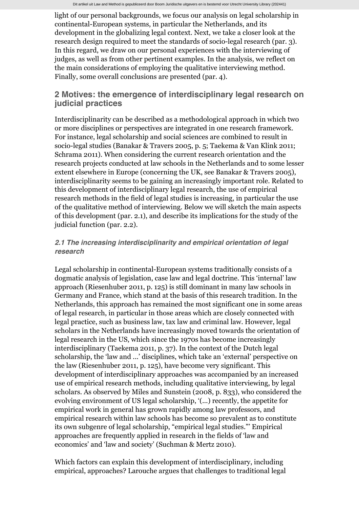light of our personal backgrounds, we focus our analysis on legal scholarship in continental-European systems, in particular the Netherlands, and its development in the globalizing legal context. Next, we take a closer look at the research design required to meet the standards of socio-legal research (par. 3). In this regard, we draw on our personal experiences with the interviewing of judges, as well as from other pertinent examples. In the analysis, we reflect on the main considerations of employing the qualitative interviewing method. Finally, some overall conclusions are presented (par. 4).

# **2 Motives: the emergence of interdisciplinary legal research on judicial practices**

Interdisciplinarity can be described as a methodological approach in which two or more disciplines or perspectives are integrated in one research framework. For instance, legal scholarship and social sciences are combined to result in socio-legal studies (Banakar & Travers 2005, p. 5; Taekema & Van Klink 2011; Schrama 2011). When considering the current research orientation and the research projects conducted at law schools in the Netherlands and to some lesser extent elsewhere in Europe (concerning the UK, see Banakar & Travers 2005), interdisciplinarity seems to be gaining an increasingly important role. Related to this development of interdisciplinary legal research, the use of empirical research methods in the field of legal studies is increasing, in particular the use of the qualitative method of interviewing. Below we will sketch the main aspects of this development (par. 2.1), and describe its implications for the study of the judicial function (par. 2.2).

## *2.1 The increasing interdisciplinarity and empirical orientation of legal research*

Legal scholarship in continental-European systems traditionally consists of a dogmatic analysis of legislation, case law and legal doctrine. This 'internal' law approach (Riesenhuber 2011, p. 125) is still dominant in many law schools in Germany and France, which stand at the basis of this research tradition. In the Netherlands, this approach has remained the most significant one in some areas of legal research, in particular in those areas which are closely connected with legal practice, such as business law, tax law and criminal law. However, legal scholars in the Netherlands have increasingly moved towards the orientation of legal research in the US, which since the 1970s has become increasingly interdisciplinary (Taekema 2011, p. 37). In the context of the Dutch legal scholarship, the 'law and ...' disciplines, which take an 'external' perspective on the law (Riesenhuber 2011, p. 125), have become very significant. This development of interdisciplinary approaches was accompanied by an increased use of empirical research methods, including qualitative interviewing, by legal scholars. As observed by Miles and Sunstein (2008, p. 833), who considered the evolving environment of US legal scholarship, '(...) recently, the appetite for empirical work in general has grown rapidly among law professors, and empirical research within law schools has become so prevalent as to constitute its own subgenre of legal scholarship, "empirical legal studies."' Empirical approaches are frequently applied in research in the fields of 'law and economics' and 'law and society' (Suchman & Mertz 2010).

Which factors can explain this development of interdisciplinary, including empirical, approaches? Larouche argues that challenges to traditional legal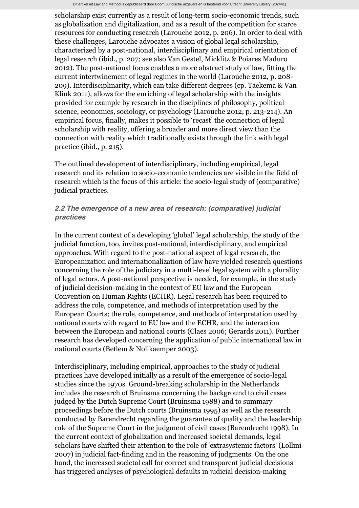scholarship exist currently as a result of long-term socio-economic trends, such as globalization and digitalization, and as a result of the competition for scarce resources for conducting research (Larouche 2012, p. 206). In order to deal with these challenges, Larouche advocates a vision of global legal scholarship, characterized by a post-national, interdisciplinary and empirical orientation of legal research (ibid., p. 207; see also Van Gestel, Micklitz & Poiares Maduro 2012). The post-national focus enables a more abstract study of law, fitting the current intertwinement of legal regimes in the world (Larouche 2012, p. 208- 209). Interdisciplinarity, which can take different degrees (cp. Taekema & Van Klink 2011), allows for the enriching of legal scholarship with the insights provided for example by research in the disciplines of philosophy, political science, economics, sociology, or psychology (Larouche 2012, p. 213-214). An empirical focus, finally, makes it possible to 'recast' the connection of legal scholarship with reality, offering a broader and more direct view than the connection with reality which traditionally exists through the link with legal practice (ibid., p. 215).

The outlined development of interdisciplinary, including empirical, legal research and its relation to socio-economic tendencies are visible in the field of research which is the focus of this article: the socio-legal study of (comparative) judicial practices.

## *2.2 The emergence of a new area of research: (comparative) judicial practices*

In the current context of a developing 'global' legal scholarship, the study of the judicial function, too, invites post-national, interdisciplinary, and empirical approaches. With regard to the post-national aspect of legal research, the Europeanization and internationalization of law have yielded research questions concerning the role of the judiciary in a multi-level legal system with a plurality of legal actors. A post-national perspective is needed, for example, in the study of judicial decision-making in the context of EU law and the European Convention on Human Rights (ECHR). Legal research has been required to address the role, competence, and methods of interpretation used by the European Courts; the role, competence, and methods of interpretation used by national courts with regard to EU law and the ECHR, and the interaction between the European and national courts (Claes 2006; Gerards 2011). Further research has developed concerning the application of public international law in national courts (Betlem & Nollkaemper 2003).

Interdisciplinary, including empirical, approaches to the study of judicial practices have developed initially as a result of the emergence of socio-legal studies since the 1970s. Ground-breaking scholarship in the Netherlands includes the research of Bruinsma concerning the background to civil cases judged by the Dutch Supreme Court (Bruinsma 1988) and to summary proceedings before the Dutch courts (Bruinsma 1995) as well as the research conducted by Barendrecht regarding the guarantee of quality and the leadership role of the Supreme Court in the judgment of civil cases (Barendrecht 1998). In the current context of globalization and increased societal demands, legal scholars have shifted their attention to the role of 'extrasystemic factors' (Lollini 2007) in judicial fact-finding and in the reasoning of judgments. On the one hand, the increased societal call for correct and transparent judicial decisions has triggered analyses of psychological defaults in judicial decision-making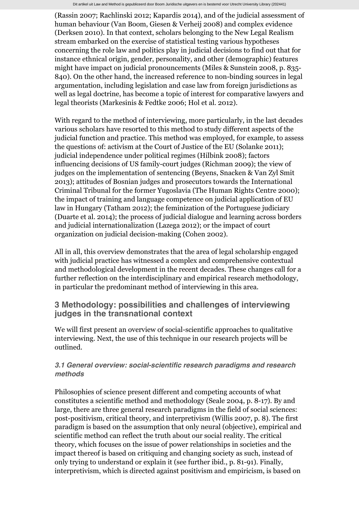(Rassin 2007; Rachlinski 2012; Kapardis 2014), and of the judicial assessment of human behaviour (Van Boom, Giesen & Verheij 2008) and complex evidence (Derksen 2010). In that context, scholars belonging to the New Legal Realism stream embarked on the exercise of statistical testing various hypotheses concerning the role law and politics play in judicial decisions to find out that for instance ethnical origin, gender, personality, and other (demographic) features might have impact on judicial pronouncements (Miles & Sunstein 2008, p. 835- 840). On the other hand, the increased reference to non-binding sources in legal argumentation, including legislation and case law from foreign jurisdictions as well as legal doctrine, has become a topic of interest for comparative lawyers and legal theorists (Markesinis & Fedtke 2006; Hol et al. 2012).

With regard to the method of interviewing, more particularly, in the last decades various scholars have resorted to this method to study different aspects of the judicial function and practice. This method was employed, for example, to assess the questions of: activism at the Court of Justice of the EU (Solanke 2011); judicial independence under political regimes (Hilbink 2008); factors influencing decisions of US family-court judges (Richman 2009); the view of judges on the implementation of sentencing (Beyens, Snacken & Van Zyl Smit 2013); attitudes of Bosnian judges and prosecutors towards the International Criminal Tribunal for the former Yugoslavia (The Human Rights Centre 2000); the impact of training and language competence on judicial application of EU law in Hungary (Tatham 2012); the feminization of the Portuguese judiciary (Duarte et al. 2014); the process of judicial dialogue and learning across borders and judicial internationalization (Lazega 2012); or the impact of court organization on judicial decision-making (Cohen 2002).

All in all, this overview demonstrates that the area of legal scholarship engaged with judicial practice has witnessed a complex and comprehensive contextual and methodological development in the recent decades. These changes call for a further reflection on the interdisciplinary and empirical research methodology, in particular the predominant method of interviewing in this area.

# **3 Methodology: possibilities and challenges of interviewing judges in the transnational context**

We will first present an overview of social-scientific approaches to qualitative interviewing. Next, the use of this technique in our research projects will be outlined.

# *3.1 General overview: social-scientific research paradigms and research methods*

Philosophies of science present different and competing accounts of what constitutes a scientific method and methodology (Seale 2004, p. 8-17). By and large, there are three general research paradigms in the field of social sciences: post-positivism, critical theory, and interpretivism (Willis 2007, p. 8). The first paradigm is based on the assumption that only neural (objective), empirical and scientific method can reflect the truth about our social reality. The critical theory, which focuses on the issue of power relationships in societies and the impact thereof is based on critiquing and changin[g society](http://www.bjutijdschriften.nl/tijdschrift/rem/2014/05/RENM-D-13-00002) as such, instead of only trying to understand or explain it (see further ibid., p. 81-91). Finally, interpretivism, which is directed against positivism and empiricism, is based on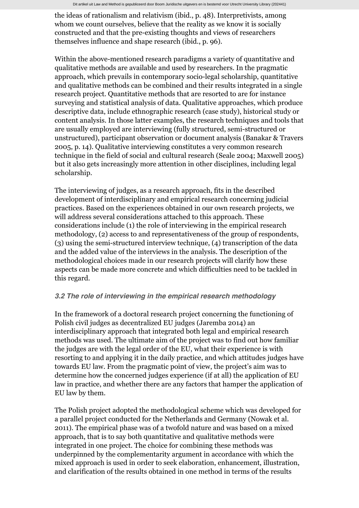the ideas of rationalism and relativism (ibid., p. 48). Interpretivists, among whom we count ourselves, believe that the reality as we know it is socially constructed and that the pre-existing thoughts and views of researchers themselves influence and shape research (ibid., p. 96).

Within the above-mentioned research paradigms a variety of quantitative and qualitative methods are available and used by researchers. In the pragmatic approach, which prevails in contemporary socio-legal scholarship, quantitative and qualitative methods can be combined and their results integrated in a single research project. Quantitative methods that are resorted to are for instance surveying and statistical analysis of data. Qualitative approaches, which produce descriptive data, include ethnographic research (case study), historical study or content analysis. In those latter examples, the research techniques and tools that are usually employed are interviewing (fully structured, semi-structured or unstructured), participant observation or document analysis (Banakar & Travers 2005, p. 14). Qualitative interviewing constitutes a very common research technique in the field of social and cultural research (Seale 2004; Maxwell 2005) but it also gets increasingly more attention in other disciplines, including legal scholarship.

The interviewing of judges, as a research approach, fits in the described development of interdisciplinary and empirical research concerning judicial practices. Based on the experiences obtained in our own research projects, we will address several considerations attached to this approach. These considerations include (1) the role of interviewing in the empirical research methodology, (2) access to and representativeness of the group of respondents, (3) using the semi-structured interview technique, (4) transcription of the data and the added value of the interviews in the analysis. The description of the methodological choices made in our research projects will clarify how these aspects can be made more concrete and which difficulties need to be tackled in this regard.

## *3.2 The role of interviewing in the empirical research methodology*

In the framework of a doctoral research project concerning the functioning of Polish civil judges as decentralized EU judges (Jaremba 2014) an interdisciplinary approach that integrated both legal and empirical research methods was used. The ultimate aim of the project was to find out how familiar the judges are with the legal order of the EU, what their experience is with resorting to and applying it in the daily practice, and which attitudes judges have towards EU law. From the pragmatic point of view, the project's aim was to determine how the concerned judges experience (if at all) the application of EU law in practice, and whether there are any factors that hamper the application of EU law by them.

The Polish project adopted the methodological scheme which was developed for a parallel project conducted for the Netherlands and Germany (Nowak et al. 2011). The empirical phase was of a twofold nature and was based on a mixed approach, that is to say both quantitative and qualitative methods were integrated in one project. The choice for combining these methods was underpinned by the complementarity argument in accordance with which the mixed approach is used in order to seek elaboration, enhancement, illustration, and clarification of the results obtained in one method in terms of the results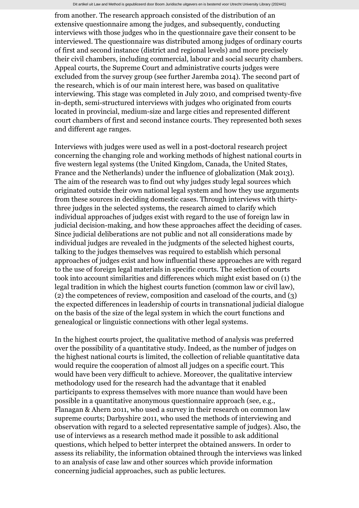from another. The research approach consisted of the distribution of an extensive questionnaire among the judges, and subsequently, conducting interviews with those judges who in the questionnaire gave their consent to be interviewed. The questionnaire was distributed among judges of ordinary courts of first and second instance (district and regional levels) and more precisely their civil chambers, including commercial, labour and social security chambers. Appeal courts, the Supreme Court and administrative courts judges were excluded from the survey group (see further Jaremba 2014). The second part of the research, which is of our main interest here, was based on qualitative interviewing. This stage was completed in July 2010, and comprised twenty-five in-depth, semi-structured interviews with judges who originated from courts located in provincial, medium-size and large cities and represented different court chambers of first and second instance courts. They represented both sexes and different age ranges.

Interviews with judges were used as well in a post-doctoral research project concerning the changing role and working methods of highest national courts in five western legal systems (the United Kingdom, Canada, the United States, France and the Netherlands) under the influence of globalization (Mak 2013). The aim of the research was to find out why judges study legal sources which originated outside their own national legal system and how they use arguments from these sources in deciding domestic cases. Through interviews with thirtythree judges in the selected systems, the research aimed to clarify which individual approaches of judges exist with regard to the use of foreign law in judicial decision-making, and how these approaches affect the deciding of cases. Since judicial deliberations are not public and not all considerations made by individual judges are revealed in the judgments of the selected highest courts, talking to the judges themselves was required to establish which personal approaches of judges exist and how influential these approaches are with regard to the use of foreign legal materials in specific courts. The selection of courts took into account similarities and differences which might exist based on (1) the legal tradition in which the highest courts function (common law or civil law), (2) the competences of review, composition and caseload of the courts, and (3) the expected differences in leadership of courts in transnational judicial dialogue on the basis of the size of the legal system in which the court functions and genealogical or linguistic connections with other legal systems.

In the highest courts project, the qualitative method of analysis was preferred over the possibility of a quantitative study. Indeed, as the number of judges on the highest national courts is limited, the collection of reliable quantitative data would require the cooperation of almost all judges on a specific court. This would have been very difficult to achieve. Moreover, the qualitative interview methodology used for the research had the advantage that it enabled participants to express themselves with more nuance than would have been possible in a quantitative anonymous questionnaire approach (see, e.g., Flanagan & Ahern 2011, who used a survey in their research on common law supreme courts; Darbyshire 2011, who used the methods of interviewing and observation with regard to a selected representative sample of judges). Also, the use of interviews as a research method made it possible to ask additional questions, which helped to better interpret the obtained answers. In order to assess its reliability, the information obtained through the interviews was linked to an analysis of case law and other sources which provide information concerning judicial approaches, such as public lectures.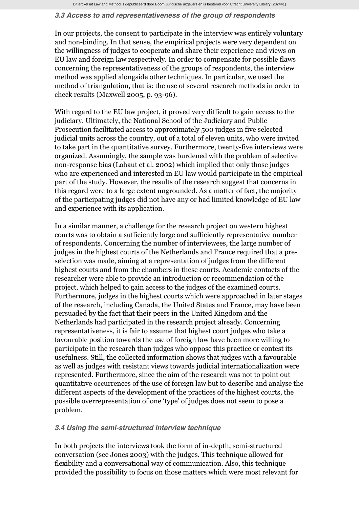Dit artikel uit Law and Method is gepubliceerd door Boom Juridische uitgevers en is bestemd voor Utrecht University Library (202441)

#### *3.3 Access to and representativeness of the group of respondents*

In our projects, the consent to participate in the interview was entirely voluntary and non-binding. In that sense, the empirical projects were very dependent on the willingness of judges to cooperate and share their experience and views on EU law and foreign law respectively. In order to compensate for possible flaws concerning the representativeness of the groups of respondents, the interview method was applied alongside other techniques. In particular, we used the method of triangulation, that is: the use of several research methods in order to check results (Maxwell 2005, p. 93-96).

With regard to the EU law project, it proved very difficult to gain access to the judiciary. Ultimately, the National School of the Judiciary and Public Prosecution facilitated access to approximately 500 judges in five selected judicial units across the country, out of a total of eleven units, who were invited to take part in the quantitative survey. Furthermore, twenty-five interviews were organized. Assumingly, the sample was burdened with the problem of selective non-response bias (Lahaut et al. 2002) which implied that only those judges who are experienced and interested in EU law would participate in the empirical part of the study. However, the results of the research suggest that concerns in this regard were to a large extent ungrounded. As a matter of fact, the majority of the participating judges did not have any or had limited knowledge of EU law and experience with its application.

In a similar manner, a challenge for the research project on western highest courts was to obtain a sufficiently large and sufficiently representative number of respondents. Concerning the number of interviewees, the large number of judges in the highest courts of the Netherlands and France required that a preselection was made, aiming at a representation of judges from the different highest courts and from the chambers in these courts. Academic contacts of the researcher were able to provide an introduction or recommendation of the project, which helped to gain access to the judges of the examined courts. Furthermore, judges in the highest courts which were approached in later stages of the research, including Canada, the United States and France, may have been persuaded by the fact that their peers in the United Kingdom and the Netherlands had participated in the research project already. Concerning representativeness, it is fair to assume that highest court judges who take a favourable position towards the use of foreign law have been more willing to participate in the research than judges who oppose this practice or contest its usefulness. Still, the collected information shows that judges with a favourable as well as judges with resistant views towards judicial internationalization were represented. Furthermore, since the aim of the research was not to point out quantitative occurrences of the use of foreign law but to describe and analyse the different aspects of the development of the practices of the highest courts, the possible overrepresentation of one 'type' of judges does not seem to pose a problem.

#### *3.4 Using the semi-structured interview technique*

In both projects the interviews took the form of in-depth, semi-structured conversation (see Jones 2003) with the judges. This technique allowed for flexibility and a conversational way of communication. Also, this technique provided the possibility to focus on those matters which were most relevant for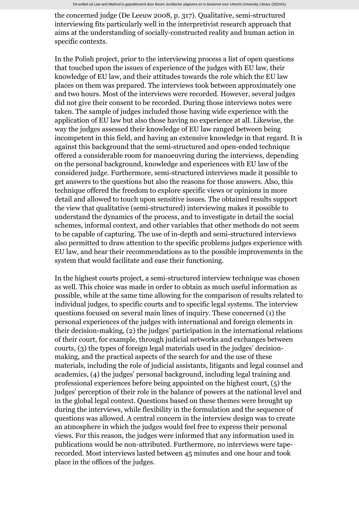the concerned judge (De Leeuw 2008, p. 317). Qualitative, semi-structured interviewing fits particularly well in the interpretivist research approach that aims at the understanding of socially-constructed reality and human action in specific contexts.

In the Polish project, prior to the interviewing process a list of open questions that touched upon the issues of experience of the judges with EU law, their knowledge of EU law, and their attitudes towards the role which the EU law places on them was prepared. The interviews took between approximately one and two hours. Most of the interviews were recorded. However, several judges did not give their consent to be recorded. During those interviews notes were taken. The sample of judges included those having wide experience with the application of EU law but also those having no experience at all. Likewise, the way the judges assessed their knowledge of EU law ranged between being incompetent in this field, and having an extensive knowledge in that regard. It is against this background that the semi-structured and open-ended technique offered a considerable room for manoeuvring during the interviews, depending on the personal background, knowledge and experiences with EU law of the considered judge. Furthermore, semi-structured interviews made it possible to get answers to the questions but also the reasons for those answers. Also, this technique offered the freedom to explore specific views or opinions in more detail and allowed to touch upon sensitive issues. The obtained results support the view that qualitative (semi-structured) interviewing makes it possible to understand the dynamics of the process, and to investigate in detail the social schemes, informal context, and other variables that other methods do not seem to be capable of capturing. The use of in-depth and semi-structured interviews also permitted to draw attention to the specific problems judges experience with EU law, and hear their recommendations as to the possible improvements in the system that would facilitate and ease their functioning.

In the highest courts project, a semi-structured interview technique was chosen as well. This choice was made in order to obtain as much useful information as possible, while at the same time allowing for the comparison of results related to individual judges, to specific courts and to specific legal systems. The interview questions focused on several main lines of inquiry. These concerned (1) the personal experiences of the judges with international and foreign elements in their decision-making, (2) the judges' participation in the international relations of their court, for example, through judicial networks and exchanges between courts, (3) the types of foreign legal materials used in the judges' decisionmaking, and the practical aspects of the search for and the use of these materials, including the role of judicial assistants, litigants and legal counsel and academics, (4) the judges' personal background, including legal training and professional experiences before being appointed on the highest court, (5) the judges' perception of their role in the balance of powers at the national level and in the global legal context. Questions based on these themes were brought up during the interviews, while flexibility in the formulation and the sequence of questions was allowed. A central concern in the interview design was to create an atmosphere in which the judges would feel free to express their personal views. For this reason, the judges were informed that any information used in publications would be non-attributed. Furthermore, no interviews were taperecorded. Most interviews lasted between 45 minutes and one hour and took place in the offices of the judges.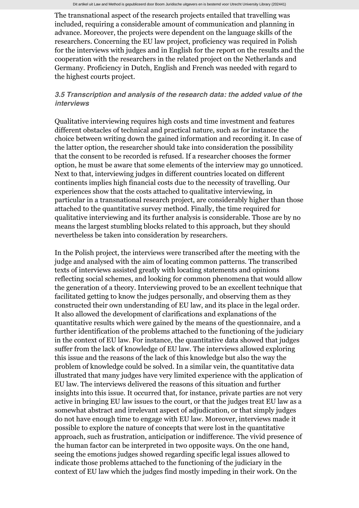The transnational aspect of the research projects entailed that travelling was included, requiring a considerable amount of communication and planning in advance. Moreover, the projects were dependent on the language skills of the researchers. Concerning the EU law project, proficiency was required in Polish for the interviews with judges and in English for the report on the results and the cooperation with the researchers in the related project on the Netherlands and Germany. Proficiency in Dutch, English and French was needed with regard to the highest courts project.

#### *3.5 Transcription and analysis of the research data: the added value of the interviews*

Qualitative interviewing requires high costs and time investment and features different obstacles of technical and practical nature, such as for instance the choice between writing down the gained information and recording it. In case of the latter option, the researcher should take into consideration the possibility that the consent to be recorded is refused. If a researcher chooses the former option, he must be aware that some elements of the interview may go unnoticed. Next to that, interviewing judges in different countries located on different continents implies high financial costs due to the necessity of travelling. Our experiences show that the costs attached to qualitative interviewing, in particular in a transnational research project, are considerably higher than those attached to the quantitative survey method. Finally, the time required for qualitative interviewing and its further analysis is considerable. Those are by no means the largest stumbling blocks related to this approach, but they should nevertheless be taken into consideration by researchers.

In the Polish project, the interviews were transcribed after the meeting with the judge and analysed with the aim of locating common patterns. The transcribed texts of interviews assisted greatly with locating statements and opinions reflecting social schemes, and looking for common phenomena that would allow the generation of a theory. Interviewing proved to be an excellent technique that facilitated getting to know the judges personally, and observing them as they constructed their own understanding of EU law, and its place in the legal order. It also allowed the development of clarifications and explanations of the quantitative results which were gained by the means of the questionnaire, and a further identification of the problems attached to the functioning of the judiciary in the context of EU law. For instance, the quantitative data showed that judges suffer from the lack of knowledge of EU law. The interviews allowed exploring this issue and the reasons of the lack of this knowledge but also the way the problem of knowledge could be solved. In a similar vein, the quantitative data illustrated that many judges have very limited experience with the application of EU law. The interviews delivered the reasons of this situation and further insights into this issue. It occurred that, for instance, private parties are not very active in bringing EU law issues to the court, or that the judges treat EU law as a somewhat abstract and irrelevant aspect of adjudication, or that simply judges do not have enough time to engage with EU law. Moreover, interviews made it possible to explore the nature of concepts that were lost in the quantitative approach, such as frustration, anticipation or indifference. The vivid presence of the human factor can be interpreted in two opposite ways. On the one hand, seeing the emotions judges showed regarding specific legal issues allowed to indicate those problems attached to the functioning of the judiciary in the context of EU law which the judges find mostly impeding in their work. On the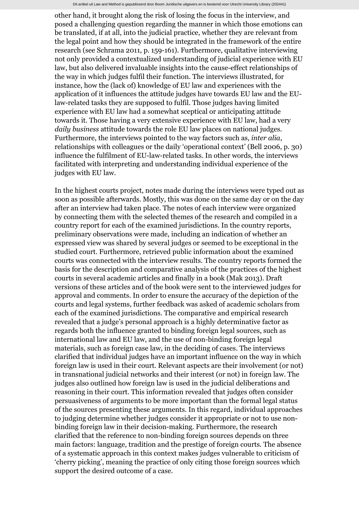other hand, it brought along the risk of losing the focus in the interview, and posed a challenging question regarding the manner in which those emotions can be translated, if at all, into the judicial practice, whether they are relevant from the legal point and how they should be integrated in the framework of the entire research (see Schrama 2011, p. 159-161). Furthermore, qualitative interviewing not only provided a contextualized understanding of judicial experience with EU law, but also delivered invaluable insights into the cause-effect relationships of the way in which judges fulfil their function. The interviews illustrated, for instance, how the (lack of) knowledge of EU law and experiences with the application of it influences the attitude judges have towards EU law and the EUlaw-related tasks they are supposed to fulfil. Those judges having limited experience with EU law had a somewhat sceptical or anticipating attitude towards it. Those having a very extensive experience with EU law, had a very *daily business* attitude towards the role EU law places on national judges. Furthermore, the interviews pointed to the way factors such as, *inter alia*, relationships with colleagues or the daily 'operational context' (Bell 2006, p. 30) influence the fulfilment of EU-law-related tasks. In other words, the interviews facilitated with interpreting and understanding individual experience of the judges with EU law.

In the highest courts project, notes made during the interviews were typed out as soon as possible afterwards. Mostly, this was done on the same day or on the day after an interview had taken place. The notes of each interview were organized by connecting them with the selected themes of the research and compiled in a country report for each of the examined jurisdictions. In the country reports, preliminary observations were made, including an indication of whether an expressed view was shared by several judges or seemed to be exceptional in the studied court. Furthermore, retrieved public information about the examined courts was connected with the interview results. The country reports formed the basis for the description and comparative analysis of the practices of the highest courts in several academic articles and finally in a book (Mak 2013). Draft versions of these articles and of the book were sent to the interviewed judges for approval and comments. In order to ensure the accuracy of the depiction of the courts and legal systems, further feedback was asked of academic scholars from each of the examined jurisdictions. The comparative and empirical research revealed that a judge's personal approach is a highly determinative factor as regards both the influence granted to binding foreign legal sources, such as international law and EU law, and the use of non-binding foreign legal materials, such as foreign case law, in the deciding of cases. The interviews clarified that individual judges have an important influence on the way in which foreign law is used in their court. Relevant aspects are their involvement (or not) in transnational judicial networks and their interest (or not) in foreign law. The judges also outlined how foreign law is used in the judicial deliberations and reasoning in their court. This information revealed that judges often consider persuasiveness of arguments to be more important than the formal legal status of the sources presenting these arguments. In this regard, individual approaches to judging determine whether judges consider it appropriate or not to use nonbinding foreign law in their decision-making. Furthermore, the research clarified that the reference to non-binding foreign sources depends on three main factors: language, tradition and the prestige of foreign courts. The absence of a systematic approach in this context makes judges vulnerable to criticism of 'cherry picking', meaning the practice of only citing those foreign sources which support the desired outcome of a case.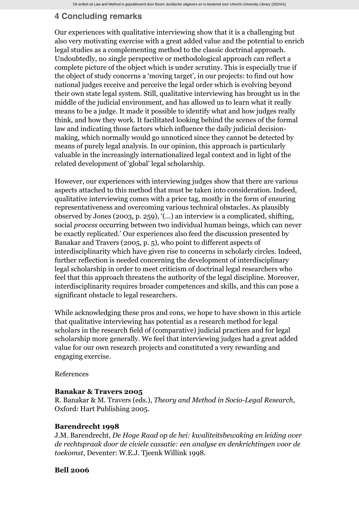# **4 Concluding remarks**

Our experiences with qualitative interviewing show that it is a challenging but also very motivating exercise with a great added value and the potential to enrich legal studies as a complementing method to the classic doctrinal approach. Undoubtedly, no single perspective or methodological approach can reflect a complete picture of the object which is under scrutiny. This is especially true if the object of study concerns a 'moving target', in our projects: to find out how national judges receive and perceive the legal order which is evolving beyond their own state legal system. Still, qualitative interviewing has brought us in the middle of the judicial environment, and has allowed us to learn what it really means to be a judge. It made it possible to identify what and how judges really think, and how they work. It facilitated looking behind the scenes of the formal law and indicating those factors which influence the daily judicial decisionmaking, which normally would go unnoticed since they cannot be detected by means of purely legal analysis. In our opinion, this approach is particularly valuable in the increasingly internationalized legal context and in light of the related development of 'global' legal scholarship.

However, our experiences with interviewing judges show that there are various aspects attached to this method that must be taken into consideration. Indeed, qualitative interviewing comes with a price tag, mostly in the form of ensuring representativeness and overcoming various technical obstacles. As plausibly observed by Jones (2003, p. 259), '(...) an interview is a complicated, shifting, social *process* occurring between two individual human beings, which can never be exactly replicated.' Our experiences also feed the discussion presented by Banakar and Travers (2005, p. 5), who point to different aspects of interdisciplinarity which have given rise to concerns in scholarly circles. Indeed, further reflection is needed concerning the development of interdisciplinary legal scholarship in order to meet criticism of doctrinal legal researchers who feel that this approach threatens the authority of the legal discipline. Moreover, interdisciplinarity requires broader competences and skills, and this can pose a significant obstacle to legal researchers.

While acknowledging these pros and cons, we hope to have shown in this article that qualitative interviewing has potential as a research method for legal scholars in the research field of (comparative) judicial practices and for legal scholarship more generally. We feel that interviewing judges had a great added value for our own research projects and constituted a very rewarding and engaging exercise.

References

#### **Banakar & Travers 2005**

R. Banakar & M. Travers (eds.), *Theory and Method in Socio-Legal Research*, Oxford: Hart Publishing 2005.

#### **Barendrecht 1998**

J.M. Barendrecht, *De Hoge Raad op de hei: kwaliteitsbewaking en leiding over de rechtspraak door de civiele cassatie: een analyse en denkrichtingen voor de toekomst*, Deventer: W.E.J. Tjeenk Willink 1998.

#### **Bell 2006**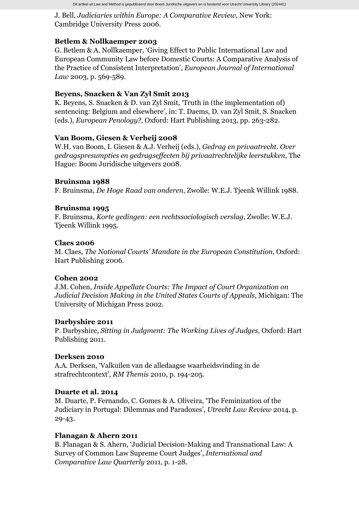Dit artikel uit Law and Method is gepubliceerd door Boom Juridische uitgevers en is bestemd voor Utrecht University Library (202441)

J. Bell, *Judiciaries within Europe: A Comparative Review*, New York: Cambridge University Press 2006.

## **Betlem & Nollkaemper 2003**

G. Betlem & A. Nollkaemper, 'Giving Effect to Public International Law and European Community Law before Domestic Courts: A Comparative Analysis of the Practice of Consistent Interpretation', *European Journal of International Law* 2003, p. 569-589.

## **Beyens, Snacken & Van Zyl Smit 2013**

K. Beyens, S. Snacken & D. van Zyl Smit, 'Truth in (the implementation of) sentencing: Belgium and elsewhere', in: T. Daems, D. van Zyl Smit, S. Snacken (eds.), *European Penology?*, Oxford: Hart Publishing 2013, pp. 263-282.

## **Van Boom, Giesen & Verheij 2008**

W.H. van Boom, I. Giesen & A.J. Verheij (eds.), *Gedrag en privaatrecht. Over gedragspresumpties en gedragseffecten bij privaatrechtelijke leerstukken*, The Hague: Boom Juridische uitgevers 2008.

## **Bruinsma 1988**

F. Bruinsma, *De Hoge Raad van onderen*, Zwolle: W.E.J. Tjeenk Willink 1988.

#### **Bruinsma 1995**

F. Bruinsma, *Korte gedingen: een rechtssociologisch verslag*, Zwolle: W.E.J. Tjeenk Willink 1995.

#### **Claes 2006**

M. Claes, *The National Courts' Mandate in the European Constitution*, Oxford: Hart Publishing 2006.

#### **Cohen 2002**

J.M. Cohen, *Inside Appellate Courts: The Impact of Court Organization on Judicial Decision Making in the United States Courts of Appeals*, Michigan: The University of Michigan Press 2002.

## **Darbyshire 2011**

P. Darbyshire, *Sitting in Judgment: The Working Lives of Judges*, Oxford: Hart Publishing 2011.

## **Derksen 2010**

A.A. Derksen, 'Valkuilen van de alledaagse waarheidsvinding in de strafrechtcontext', *RM Themis* 2010, p. 194-205.

## **Duarte et al. 2014**

M. Duarte, P. Fernando, C. Gomes & A. Oliveira, 'The Feminization of the Judiciary in Portugal: Dilemmas and Paradoxes', *Utrecht Law Review* 2014, p. 29-43.

## **Flanagan & Ahern 2011**

B. Flanagan & S. Ahern, 'Judicial Decision-Making and Transnational Law: A Survey of Common Law Supreme Court Judges', *International and Comparative Law Quarterly* 2011, p. 1-28.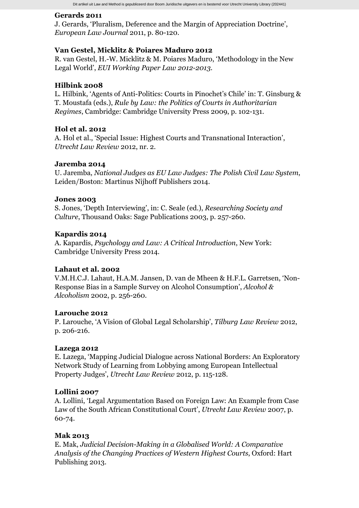## **Gerards 2011**

J. Gerards, 'Pluralism, Deference and the Margin of Appreciation Doctrine', *European Law Journal* 2011, p. 80-120.

## **Van Gestel, Micklitz & Poiares Maduro 2012**

R. van Gestel, H.-W. Micklitz & M. Poiares Maduro, 'Methodology in the New Legal World', *EUI Working Paper Law 2012-2013*.

#### **Hilbink 2008**

L. Hilbink, 'Agents of Anti-Politics: Courts in Pinochet's Chile' in: T. Ginsburg & T. Moustafa (eds.), *Rule by Law: the Politics of Courts in Authoritarian Regimes*, Cambridge: Cambridge University Press 2009, p. 102-131.

## **Hol et al. 2012**

A. Hol et al., 'Special Issue: Highest Courts and Transnational Interaction', *Utrecht Law Review* 2012, nr. 2.

## **Jaremba 2014**

U. Jaremba, *National Judges as EU Law Judges: The Polish Civil Law System*, Leiden/Boston: Martinus Nijhoff Publishers 2014.

#### **Jones 2003**

S. Jones, 'Depth Interviewing', in: C. Seale (ed.), *Researching Society and Culture*, Thousand Oaks: Sage Publications 2003, p. 257-260.

#### **Kapardis 2014**

A. Kapardis, *Psychology and Law: A Critical Introduction*, New York: Cambridge University Press 2014.

#### **Lahaut et al. 2002**

V.M.H.C.J. Lahaut, H.A.M. Jansen, D. van de Mheen & H.F.L. Garretsen, 'Non-Response Bias in a Sample Survey on Alcohol Consumption', *Alcohol & Alcoholism* 2002, p. 256-260.

## **Larouche 2012**

P. Larouche, 'A Vision of Global Legal Scholarship', *Tilburg Law Review* 2012, p. 206-216.

#### **Lazega 2012**

E. Lazega, 'Mapping Judicial Dialogue across National Borders: An Exploratory Network Study of Learning from Lobbying among European Intellectual Property Judges', *Utrecht Law Review* 2012, p. 115-128.

#### **Lollini 2007**

A. Lollini, 'Legal Argumentation Based on Foreign Law: An Example from Case Law of the South African Constitutional Court', *Utrecht Law Review* 2007, p. 60-74.

#### **Mak 2013**

E. Mak, *Judicial Decision-Making in a Globalised World: A Comparative Analysis of the Changing Practices of Western Highest Courts*, Oxford: Hart Publishing 2013.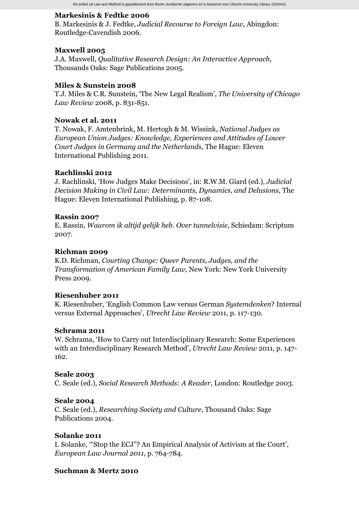#### **Markesinis & Fedtke 2006**

B. Markesinis & J. Fedtke, *Judicial Recourse to Foreign Law*, Abingdon: Routledge-Cavendish 2006.

#### **Maxwell 2005**

J.A. Maxwell, *Qualitative Research Design: An Interactive Approach*, Thousands Oaks: Sage Publications 2005.

#### **Miles & Sunstein 2008**

T.J. Miles & C.R. Sunstein, 'The New Legal Realism', *The University of Chicago Law Review* 2008, p. 831-851.

## **Nowak et al. 2011**

T. Nowak, F. Amtenbrink, M. Hertogh & M. Wissink, *National Judges as European Union Judges: Knowledge, Experiences and Attitudes of Lower Court Judges in Germany and the Netherlands*, The Hague: Eleven International Publishing 2011.

#### **Rachlinski 2012**

J. Rachlinski, 'How Judges Make Decisions', in: R.W.M. Giard (ed.), *Judicial Decision Making in Civil Law: Determinants, Dynamics, and Delusions*, The Hague: Eleven International Publishing, p. 87-108.

#### **Rassin 2007**

E. Rassin, *Waarom ik altijd gelijk heb. Over tunnelvisie*, Schiedam: Scriptum 2007.

#### **Richman 2009**

K.D. Richman, *Courting Change: Queer Parents, Judges, and the Transformation of American Family Law*, New York: New York University Press 2009.

#### **Riesenhuber 2011**

K. Riesenhuber, 'English Common Law versus German *Systemdenken*? Internal versus External Approaches', *Utrecht Law Review* 2011, p. 117-130.

#### **Schrama 2011**

W. Schrama, 'How to Carry out Interdisciplinary Research: Some Experiences with an Interdisciplinary Research Method', *Utrecht Law Review* 2011, p. 147- 162.

#### **Seale 2003**

C. Seale (ed.), *Social Research Methods: A Reader*, London: Routledge 2003.

#### **Seale 2004**

C. Seale (ed.), *Researching Society and Culture*, Thousand Oaks: Sage Publications 2004.

#### **Solanke 2011**

I. Solanke, '"Stop the ECJ"? An Empirical Analysis of Activism at the Court', *European Law Journal 2011*, p. 764-784.

#### **Suchman & Mertz 2010**